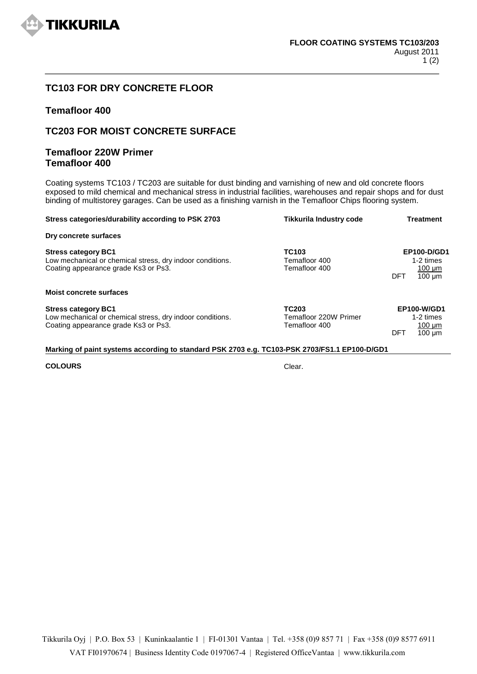

# **TC103 FOR DRY CONCRETE FLOOR**

### **Temafloor 400**

## **TC203 FOR MOIST CONCRETE SURFACE**

## **Temafloor 220W Primer Temafloor 400**

Coating systems TC103 / TC203 are suitable for dust binding and varnishing of new and old concrete floors exposed to mild chemical and mechanical stress in industrial facilities, warehouses and repair shops and for dust binding of multistorey garages. Can be used as a finishing varnish in the Temafloor Chips flooring system.

| Stress categories/durability according to PSK 2703                                                                              | Tikkurila Industry code                                | <b>Treatment</b>                                                          |
|---------------------------------------------------------------------------------------------------------------------------------|--------------------------------------------------------|---------------------------------------------------------------------------|
| Dry concrete surfaces                                                                                                           |                                                        |                                                                           |
| <b>Stress category BC1</b><br>Low mechanical or chemical stress, dry indoor conditions.<br>Coating appearance grade Ks3 or Ps3. | TC103<br>Temafloor 400<br>Temafloor 400                | EP100-D/GD1<br>1-2 times<br>$100 \mu m$<br>$100 \mu m$<br>DFT             |
| <b>Moist concrete surfaces</b>                                                                                                  |                                                        |                                                                           |
| <b>Stress category BC1</b><br>Low mechanical or chemical stress, dry indoor conditions.<br>Coating appearance grade Ks3 or Ps3. | <b>TC203</b><br>Temafloor 220W Primer<br>Temafloor 400 | <b>EP100-W/GD1</b><br>1-2 times<br>$100 \text{ µm}$<br>DFT<br>$100 \mu m$ |

#### **Marking of paint systems according to standard PSK 2703 e.g. TC103-PSK 2703/FS1.1 EP100-D/GD1**

#### **COLOURS** Clear.